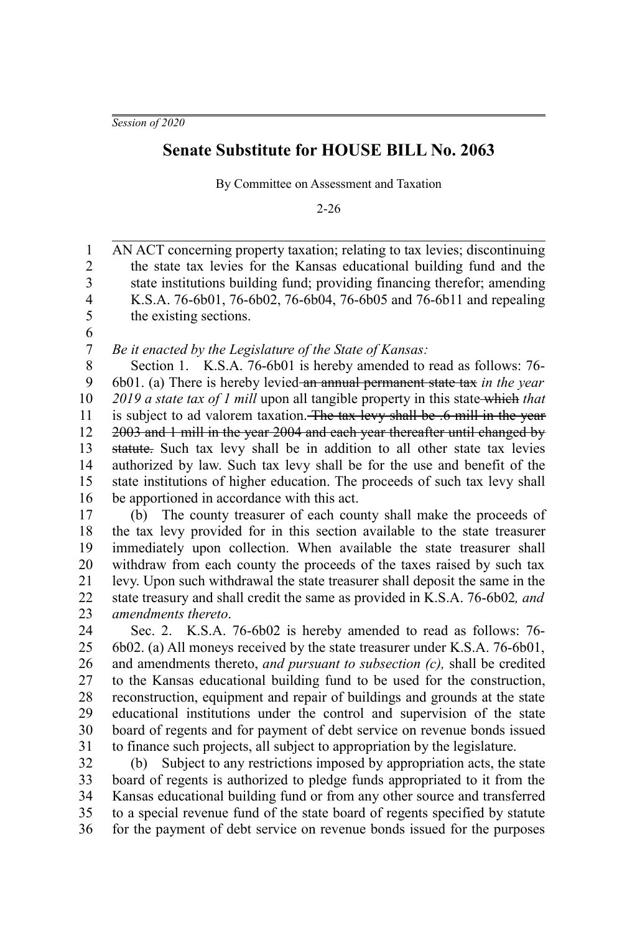*Session of 2020*

## **Senate Substitute for HOUSE BILL No. 2063**

By Committee on Assessment and Taxation

2-26

AN ACT concerning property taxation; relating to tax levies; discontinuing the state tax levies for the Kansas educational building fund and the state institutions building fund; providing financing therefor; amending K.S.A. 76-6b01, 76-6b02, 76-6b04, 76-6b05 and 76-6b11 and repealing the existing sections. 1 2 3 4 5

6 7

*Be it enacted by the Legislature of the State of Kansas:*

Section 1. K.S.A. 76-6b01 is hereby amended to read as follows: 76- 6b01. (a) There is hereby levied an annual permanent state tax *in the year 2019 a state tax of 1 mill* upon all tangible property in this state which *that* is subject to ad valorem taxation. The tax levy shall be .6 mill in the year 2003 and 1 mill in the year 2004 and each year thereafter until changed by statute. Such tax levy shall be in addition to all other state tax levies authorized by law. Such tax levy shall be for the use and benefit of the state institutions of higher education. The proceeds of such tax levy shall be apportioned in accordance with this act. 8 9 10 11 12 13 14 15 16

(b) The county treasurer of each county shall make the proceeds of the tax levy provided for in this section available to the state treasurer immediately upon collection. When available the state treasurer shall withdraw from each county the proceeds of the taxes raised by such tax levy. Upon such withdrawal the state treasurer shall deposit the same in the state treasury and shall credit the same as provided in K.S.A. 76-6b02*, and amendments thereto*. 17 18 19 20 21 22 23

Sec. 2. K.S.A. 76-6b02 is hereby amended to read as follows: 76- 6b02. (a) All moneys received by the state treasurer under K.S.A. 76-6b01, and amendments thereto, *and pursuant to subsection (c),* shall be credited to the Kansas educational building fund to be used for the construction, reconstruction, equipment and repair of buildings and grounds at the state educational institutions under the control and supervision of the state board of regents and for payment of debt service on revenue bonds issued to finance such projects, all subject to appropriation by the legislature. 24 25 26 27 28 29 30 31

(b) Subject to any restrictions imposed by appropriation acts, the state board of regents is authorized to pledge funds appropriated to it from the Kansas educational building fund or from any other source and transferred to a special revenue fund of the state board of regents specified by statute for the payment of debt service on revenue bonds issued for the purposes 32 33 34 35 36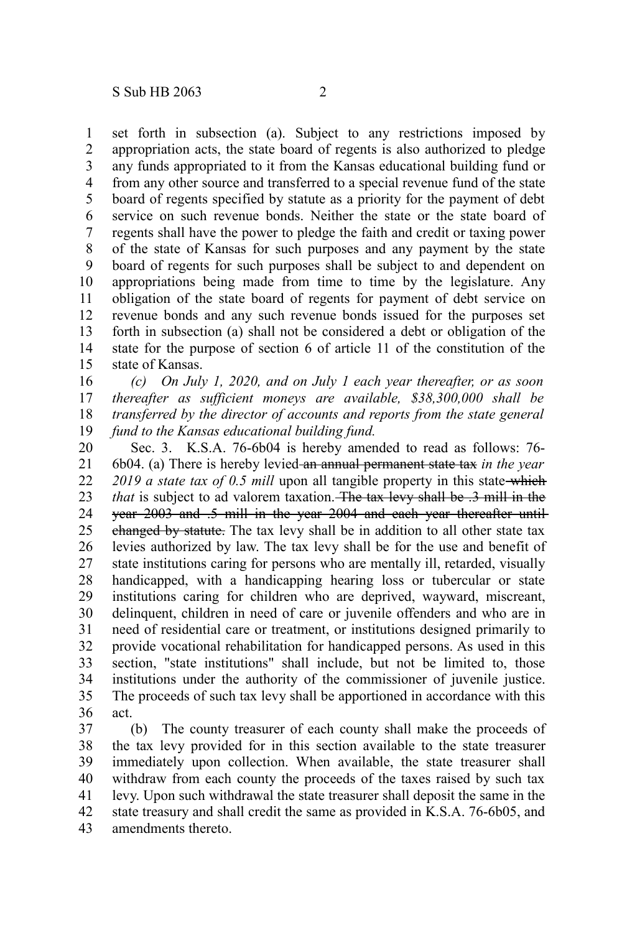set forth in subsection (a). Subject to any restrictions imposed by appropriation acts, the state board of regents is also authorized to pledge any funds appropriated to it from the Kansas educational building fund or from any other source and transferred to a special revenue fund of the state board of regents specified by statute as a priority for the payment of debt service on such revenue bonds. Neither the state or the state board of regents shall have the power to pledge the faith and credit or taxing power of the state of Kansas for such purposes and any payment by the state board of regents for such purposes shall be subject to and dependent on appropriations being made from time to time by the legislature. Any obligation of the state board of regents for payment of debt service on revenue bonds and any such revenue bonds issued for the purposes set forth in subsection (a) shall not be considered a debt or obligation of the state for the purpose of section 6 of article 11 of the constitution of the state of Kansas. 1 2 3 4 5 6 7 8 9 10 11 12 13 14 15

*(c) On July 1, 2020, and on July 1 each year thereafter, or as soon thereafter as sufficient moneys are available, \$38,300,000 shall be transferred by the director of accounts and reports from the state general fund to the Kansas educational building fund.* 16 17 18 19

Sec. 3. K.S.A. 76-6b04 is hereby amended to read as follows: 76- 6b04. (a) There is hereby levied an annual permanent state tax *in the year* 2019 a state tax of 0.5 mill upon all tangible property in this state-which *that* is subject to ad valorem taxation. The tax levy shall be .3 mill in the year 2003 and .5 mill in the year 2004 and each year thereafter until changed by statute. The tax levy shall be in addition to all other state tax levies authorized by law. The tax levy shall be for the use and benefit of state institutions caring for persons who are mentally ill, retarded, visually handicapped, with a handicapping hearing loss or tubercular or state institutions caring for children who are deprived, wayward, miscreant, delinquent, children in need of care or juvenile offenders and who are in need of residential care or treatment, or institutions designed primarily to provide vocational rehabilitation for handicapped persons. As used in this section, "state institutions" shall include, but not be limited to, those institutions under the authority of the commissioner of juvenile justice. The proceeds of such tax levy shall be apportioned in accordance with this act. 20 21 22 23 24 25 26 27 28 29 30 31 32 33 34 35 36

(b) The county treasurer of each county shall make the proceeds of the tax levy provided for in this section available to the state treasurer immediately upon collection. When available, the state treasurer shall withdraw from each county the proceeds of the taxes raised by such tax levy. Upon such withdrawal the state treasurer shall deposit the same in the state treasury and shall credit the same as provided in K.S.A. 76-6b05, and amendments thereto. 37 38 39 40 41 42 43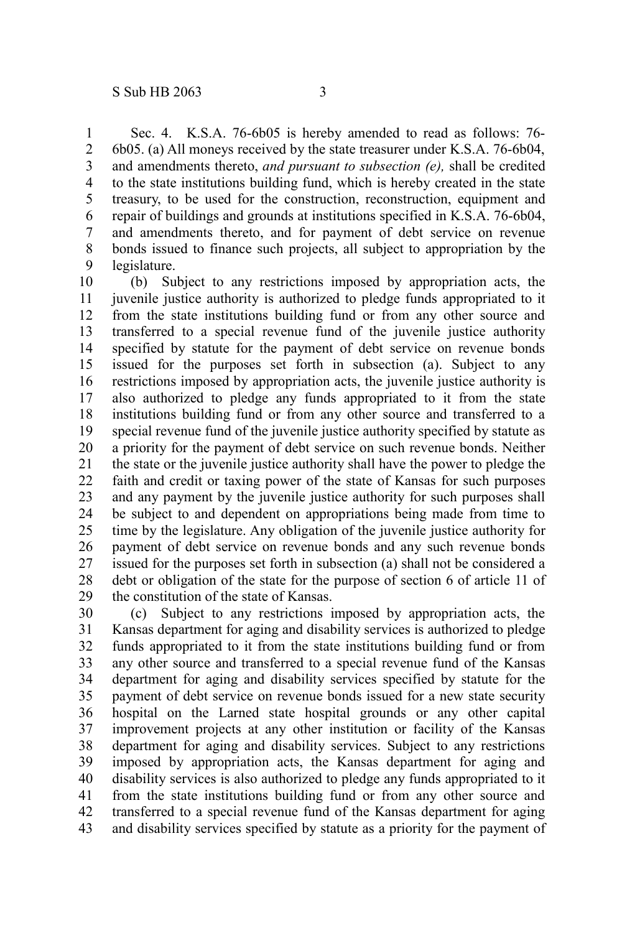Sec. 4. K.S.A. 76-6b05 is hereby amended to read as follows: 76- 6b05. (a) All moneys received by the state treasurer under K.S.A. 76-6b04, and amendments thereto, *and pursuant to subsection (e),* shall be credited to the state institutions building fund, which is hereby created in the state treasury, to be used for the construction, reconstruction, equipment and repair of buildings and grounds at institutions specified in K.S.A. 76-6b04, and amendments thereto, and for payment of debt service on revenue bonds issued to finance such projects, all subject to appropriation by the legislature. 1 2 3 4 5 6 7 8 9

(b) Subject to any restrictions imposed by appropriation acts, the juvenile justice authority is authorized to pledge funds appropriated to it from the state institutions building fund or from any other source and transferred to a special revenue fund of the juvenile justice authority specified by statute for the payment of debt service on revenue bonds issued for the purposes set forth in subsection (a). Subject to any restrictions imposed by appropriation acts, the juvenile justice authority is also authorized to pledge any funds appropriated to it from the state institutions building fund or from any other source and transferred to a special revenue fund of the juvenile justice authority specified by statute as a priority for the payment of debt service on such revenue bonds. Neither the state or the juvenile justice authority shall have the power to pledge the faith and credit or taxing power of the state of Kansas for such purposes and any payment by the juvenile justice authority for such purposes shall be subject to and dependent on appropriations being made from time to time by the legislature. Any obligation of the juvenile justice authority for payment of debt service on revenue bonds and any such revenue bonds issued for the purposes set forth in subsection (a) shall not be considered a debt or obligation of the state for the purpose of section 6 of article 11 of the constitution of the state of Kansas. 10 11 12 13 14 15 16 17 18 19 20 21 22 23 24 25 26 27 28 29

(c) Subject to any restrictions imposed by appropriation acts, the Kansas department for aging and disability services is authorized to pledge funds appropriated to it from the state institutions building fund or from any other source and transferred to a special revenue fund of the Kansas department for aging and disability services specified by statute for the payment of debt service on revenue bonds issued for a new state security hospital on the Larned state hospital grounds or any other capital improvement projects at any other institution or facility of the Kansas department for aging and disability services. Subject to any restrictions imposed by appropriation acts, the Kansas department for aging and disability services is also authorized to pledge any funds appropriated to it from the state institutions building fund or from any other source and transferred to a special revenue fund of the Kansas department for aging and disability services specified by statute as a priority for the payment of 30 31 32 33 34 35 36 37 38 39 40 41 42 43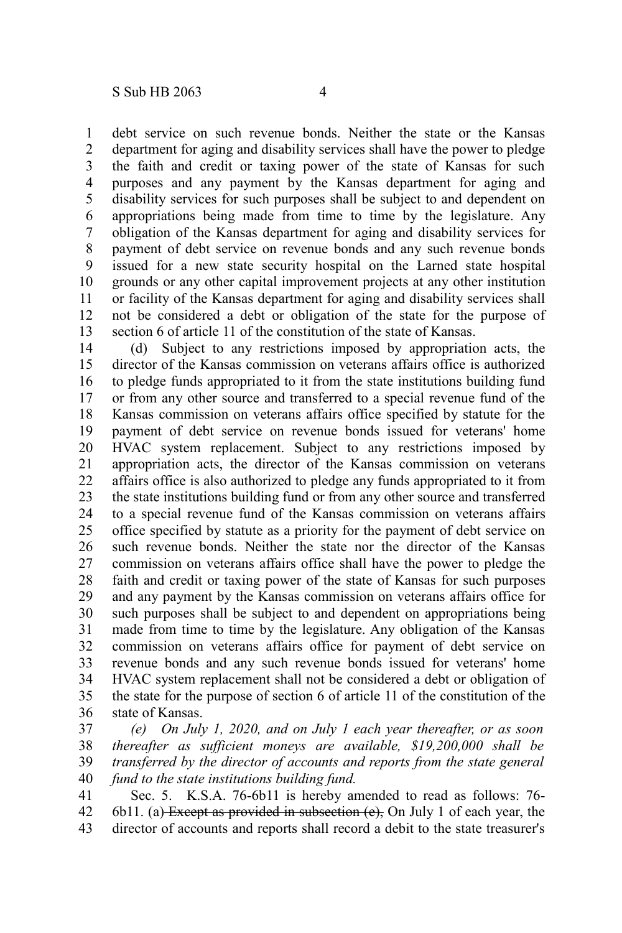debt service on such revenue bonds. Neither the state or the Kansas department for aging and disability services shall have the power to pledge the faith and credit or taxing power of the state of Kansas for such purposes and any payment by the Kansas department for aging and disability services for such purposes shall be subject to and dependent on appropriations being made from time to time by the legislature. Any obligation of the Kansas department for aging and disability services for payment of debt service on revenue bonds and any such revenue bonds issued for a new state security hospital on the Larned state hospital grounds or any other capital improvement projects at any other institution or facility of the Kansas department for aging and disability services shall not be considered a debt or obligation of the state for the purpose of section 6 of article 11 of the constitution of the state of Kansas. 1 2 3 4 5 6 7 8 9 10 11 12 13

(d) Subject to any restrictions imposed by appropriation acts, the director of the Kansas commission on veterans affairs office is authorized to pledge funds appropriated to it from the state institutions building fund or from any other source and transferred to a special revenue fund of the Kansas commission on veterans affairs office specified by statute for the payment of debt service on revenue bonds issued for veterans' home HVAC system replacement. Subject to any restrictions imposed by appropriation acts, the director of the Kansas commission on veterans affairs office is also authorized to pledge any funds appropriated to it from the state institutions building fund or from any other source and transferred to a special revenue fund of the Kansas commission on veterans affairs office specified by statute as a priority for the payment of debt service on such revenue bonds. Neither the state nor the director of the Kansas commission on veterans affairs office shall have the power to pledge the faith and credit or taxing power of the state of Kansas for such purposes and any payment by the Kansas commission on veterans affairs office for such purposes shall be subject to and dependent on appropriations being made from time to time by the legislature. Any obligation of the Kansas commission on veterans affairs office for payment of debt service on revenue bonds and any such revenue bonds issued for veterans' home HVAC system replacement shall not be considered a debt or obligation of the state for the purpose of section 6 of article 11 of the constitution of the state of Kansas. 14 15 16 17 18 19 20 21 22 23 24 25 26 27 28 29 30 31 32 33 34 35 36

*(e) On July 1, 2020, and on July 1 each year thereafter, or as soon thereafter as sufficient moneys are available, \$19,200,000 shall be transferred by the director of accounts and reports from the state general fund to the state institutions building fund.* 37 38 39 40

Sec. 5. K.S.A. 76-6b11 is hereby amended to read as follows: 76- 6b11. (a) Except as provided in subsection (e), On July 1 of each year, the director of accounts and reports shall record a debit to the state treasurer's 41 42 43